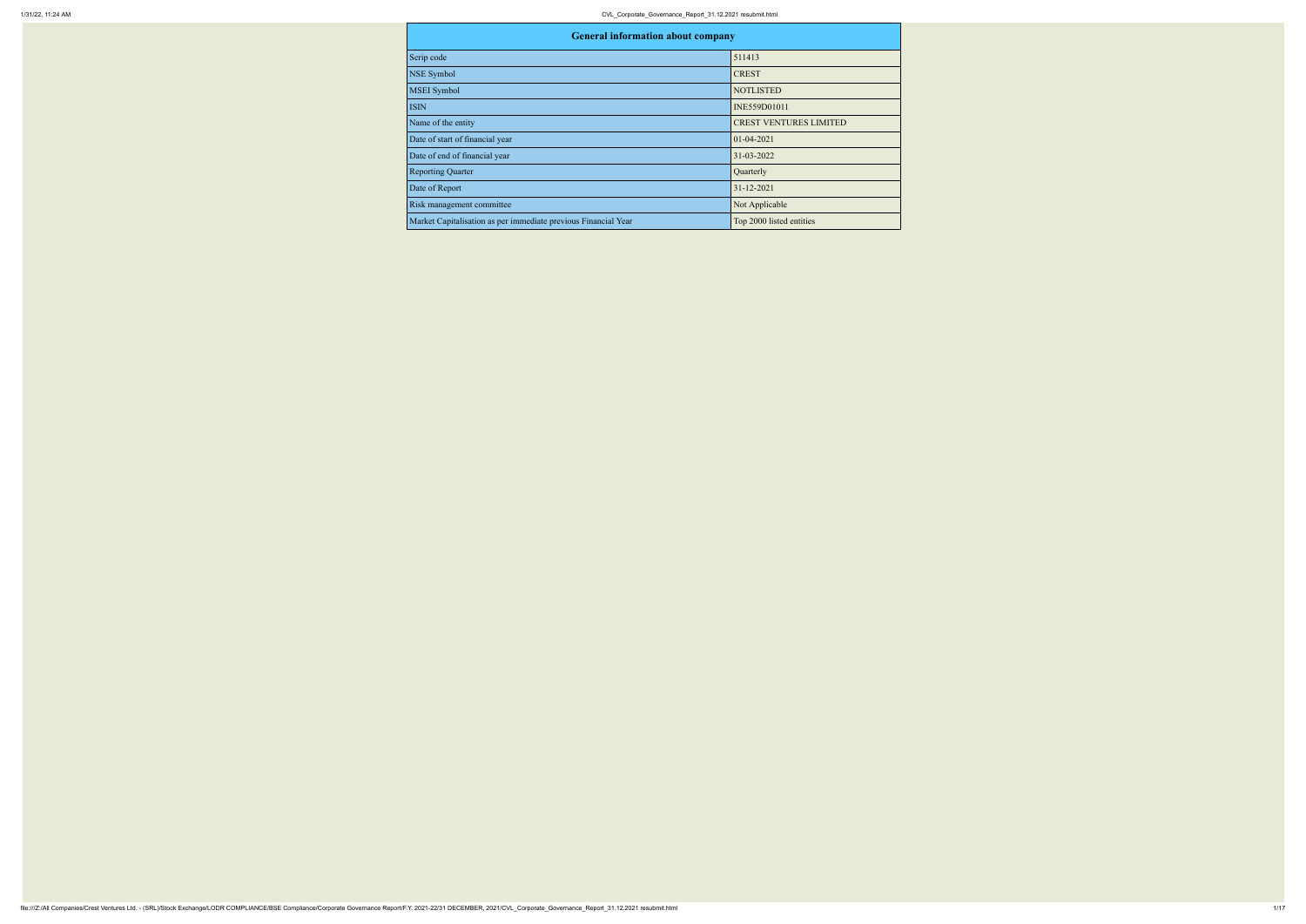| <b>General information about company</b>                       |                               |  |  |  |  |
|----------------------------------------------------------------|-------------------------------|--|--|--|--|
| Scrip code                                                     | 511413                        |  |  |  |  |
| NSE Symbol                                                     | <b>CREST</b>                  |  |  |  |  |
| <b>MSEI</b> Symbol                                             | <b>NOTLISTED</b>              |  |  |  |  |
| <b>ISIN</b>                                                    | INE559D01011                  |  |  |  |  |
| Name of the entity                                             | <b>CREST VENTURES LIMITED</b> |  |  |  |  |
| Date of start of financial year                                | $01 - 04 - 2021$              |  |  |  |  |
| Date of end of financial year                                  | 31-03-2022                    |  |  |  |  |
| <b>Reporting Quarter</b>                                       | Quarterly                     |  |  |  |  |
| Date of Report                                                 | 31-12-2021                    |  |  |  |  |
| Risk management committee                                      | Not Applicable                |  |  |  |  |
| Market Capitalisation as per immediate previous Financial Year | Top 2000 listed entities      |  |  |  |  |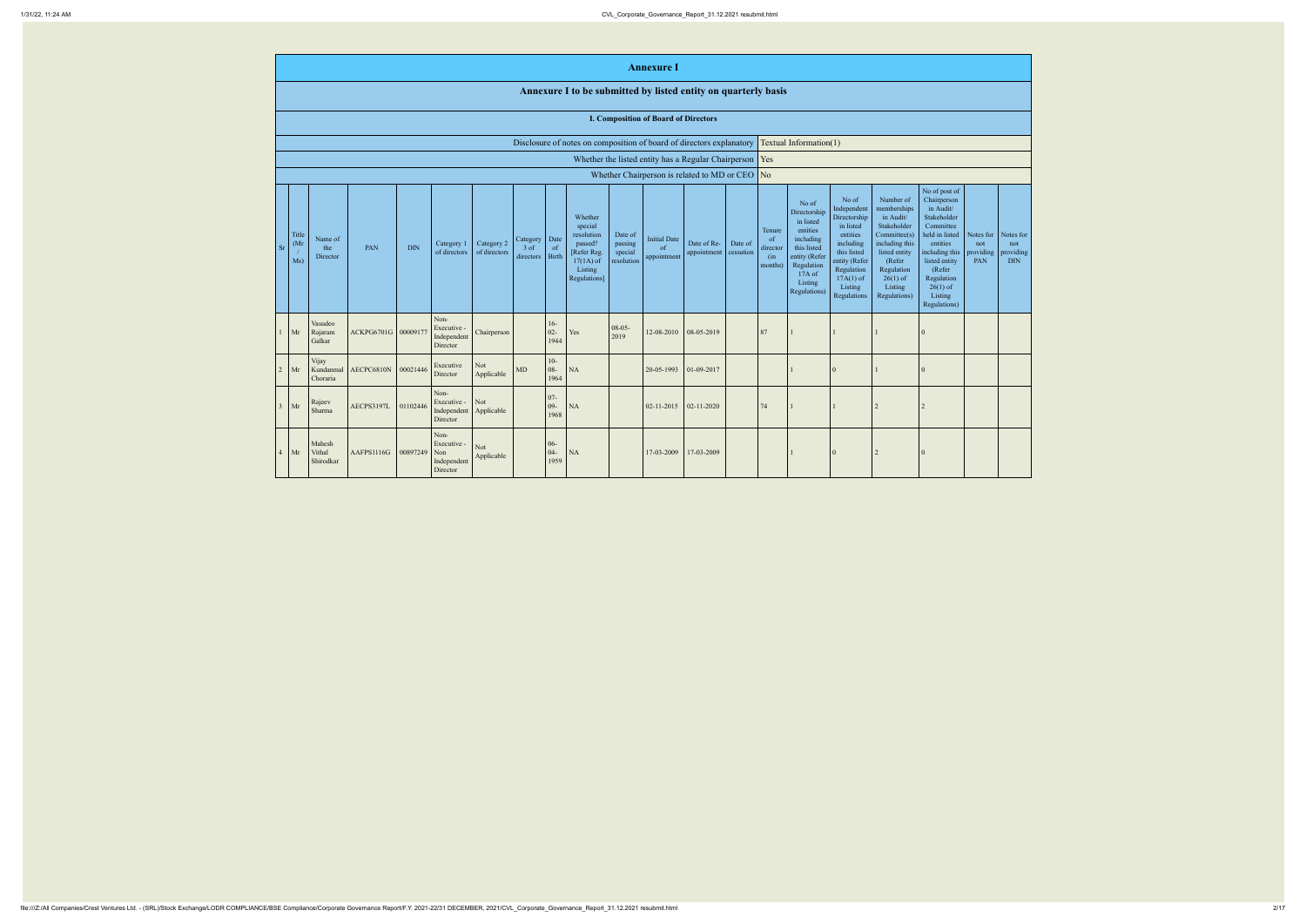|                |                                                                      |                                |                                            |          |                                                |                            |                                 |                              |                                                                                                      |                                             | <b>Annexure</b> 1                                   |                                                                                                                           |         |                                                                                                                                                                                                                                                                                                                                                                                                                                                                                                                                                                                                                                                                                                                                                                                                                                    |  |          |                |                |  |  |
|----------------|----------------------------------------------------------------------|--------------------------------|--------------------------------------------|----------|------------------------------------------------|----------------------------|---------------------------------|------------------------------|------------------------------------------------------------------------------------------------------|---------------------------------------------|-----------------------------------------------------|---------------------------------------------------------------------------------------------------------------------------|---------|------------------------------------------------------------------------------------------------------------------------------------------------------------------------------------------------------------------------------------------------------------------------------------------------------------------------------------------------------------------------------------------------------------------------------------------------------------------------------------------------------------------------------------------------------------------------------------------------------------------------------------------------------------------------------------------------------------------------------------------------------------------------------------------------------------------------------------|--|----------|----------------|----------------|--|--|
|                |                                                                      |                                |                                            |          |                                                |                            |                                 |                              | Annexure I to be submitted by listed entity on quarterly basis                                       |                                             |                                                     |                                                                                                                           |         |                                                                                                                                                                                                                                                                                                                                                                                                                                                                                                                                                                                                                                                                                                                                                                                                                                    |  |          |                |                |  |  |
|                | <b>I. Composition of Board of Directors</b>                          |                                |                                            |          |                                                |                            |                                 |                              |                                                                                                      |                                             |                                                     |                                                                                                                           |         |                                                                                                                                                                                                                                                                                                                                                                                                                                                                                                                                                                                                                                                                                                                                                                                                                                    |  |          |                |                |  |  |
|                | Disclosure of notes on composition of board of directors explanatory |                                |                                            |          |                                                |                            |                                 |                              | Textual Information(1)                                                                               |                                             |                                                     |                                                                                                                           |         |                                                                                                                                                                                                                                                                                                                                                                                                                                                                                                                                                                                                                                                                                                                                                                                                                                    |  |          |                |                |  |  |
|                |                                                                      |                                |                                            |          |                                                |                            |                                 |                              |                                                                                                      |                                             |                                                     | Whether the listed entity has a Regular Chairperson $\sqrt{\text{Yes}}$<br>Whether Chairperson is related to MD or CEO No |         |                                                                                                                                                                                                                                                                                                                                                                                                                                                                                                                                                                                                                                                                                                                                                                                                                                    |  |          |                |                |  |  |
| <b>Sr</b>      | Title<br>(Mr)<br>Ms)                                                 | Name of<br>the<br>Director     | PAN                                        | DIN      | Category 1<br>of directors                     | Category 2<br>of directors | Category<br>$3$ of<br>directors | Date<br>-of<br>Birth         | Whether<br>special<br>resolution<br>passed?<br>[Refer Reg.<br>$17(1A)$ of<br>Listing<br>Regulations] | Date of<br>passing<br>special<br>resolution | <b>Initial Date</b><br><sub>of</sub><br>appointment | Date of Re-<br>appointment cessation                                                                                      | Date of | No of post of<br>Number of<br>No of<br>Chairperson<br>No of<br>Independent<br>memberships<br>in Audit/<br>Directorship<br>Stakeholder<br>Directorship<br>in Audit/<br>in listed<br>Stakeholder<br>Committee<br>in listed<br>entities<br>Tenure<br>Committee(s)<br>held in listed<br>Notes for<br>Notes for<br>entities<br>including<br>of<br>entities<br>including<br>including this<br>not<br>not<br>this listed<br>director<br>providing<br>this listed<br>listed entity<br>including this<br>entity (Refer<br>(in<br>entity (Refer<br>PAN<br><b>DIN</b><br>(Refer<br>listed entity<br>Regulation<br>months)<br>Regulation<br>(Refer<br>Regulation<br>17A of<br>$17A(1)$ of<br>$26(1)$ of<br>Regulation<br>Listing<br>Listing<br>Listing<br>$26(1)$ of<br>Regulations)<br>Listing<br>Regulations<br>Regulations)<br>Regulations) |  |          |                | providing      |  |  |
|                | Mr                                                                   | Vasudeo<br>Rajaram<br>Galkar   | ACKPG6701G 00009177                        |          | Non-<br>Executive -<br>Independent<br>Director | Chairperson                |                                 | $16-$<br>$02 -$<br>1944      | Yes                                                                                                  | $08-05-$<br>2019                            | 12-08-2010                                          | 08-05-2019                                                                                                                |         | 87                                                                                                                                                                                                                                                                                                                                                                                                                                                                                                                                                                                                                                                                                                                                                                                                                                 |  |          |                | $\theta$       |  |  |
| $\overline{2}$ | Mr                                                                   | Vijay<br>Kundanmal<br>Choraria | AECPC6810N                                 | 00021446 | Executive<br>Director                          | Not<br>Applicable          | $\rm MD$                        | $10-$<br>$08 -$<br>1964      | $\rm NA$                                                                                             |                                             | 20-05-1993                                          | 01-09-2017                                                                                                                |         |                                                                                                                                                                                                                                                                                                                                                                                                                                                                                                                                                                                                                                                                                                                                                                                                                                    |  |          |                | $\bf{0}$       |  |  |
|                | $\vert$ Mr                                                           | Rajeev<br>Sharma               | AECPS3197L 01102446 Independent Applicable |          | Non-<br>Executive - Not<br>Director            |                            |                                 | $07 -$<br>$09 - N$ A<br>1968 |                                                                                                      |                                             | $02-11-2015$ 02-11-2020                             |                                                                                                                           |         | $\sqrt{74}$                                                                                                                                                                                                                                                                                                                                                                                                                                                                                                                                                                                                                                                                                                                                                                                                                        |  |          |                |                |  |  |
| $\overline{4}$ | Mr                                                                   | Mahesh<br>Vithal<br>Shirodkar  | AAFPS1116G 00897249 Non                    |          | Non-<br>Executive -<br>Independent<br>Director | Not<br>Applicable          |                                 | $06 -$<br>$04-$<br>1959      | NA                                                                                                   |                                             | 17-03-2009 17-03-2009                               |                                                                                                                           |         |                                                                                                                                                                                                                                                                                                                                                                                                                                                                                                                                                                                                                                                                                                                                                                                                                                    |  | $\Omega$ | $\overline{2}$ | $\overline{0}$ |  |  |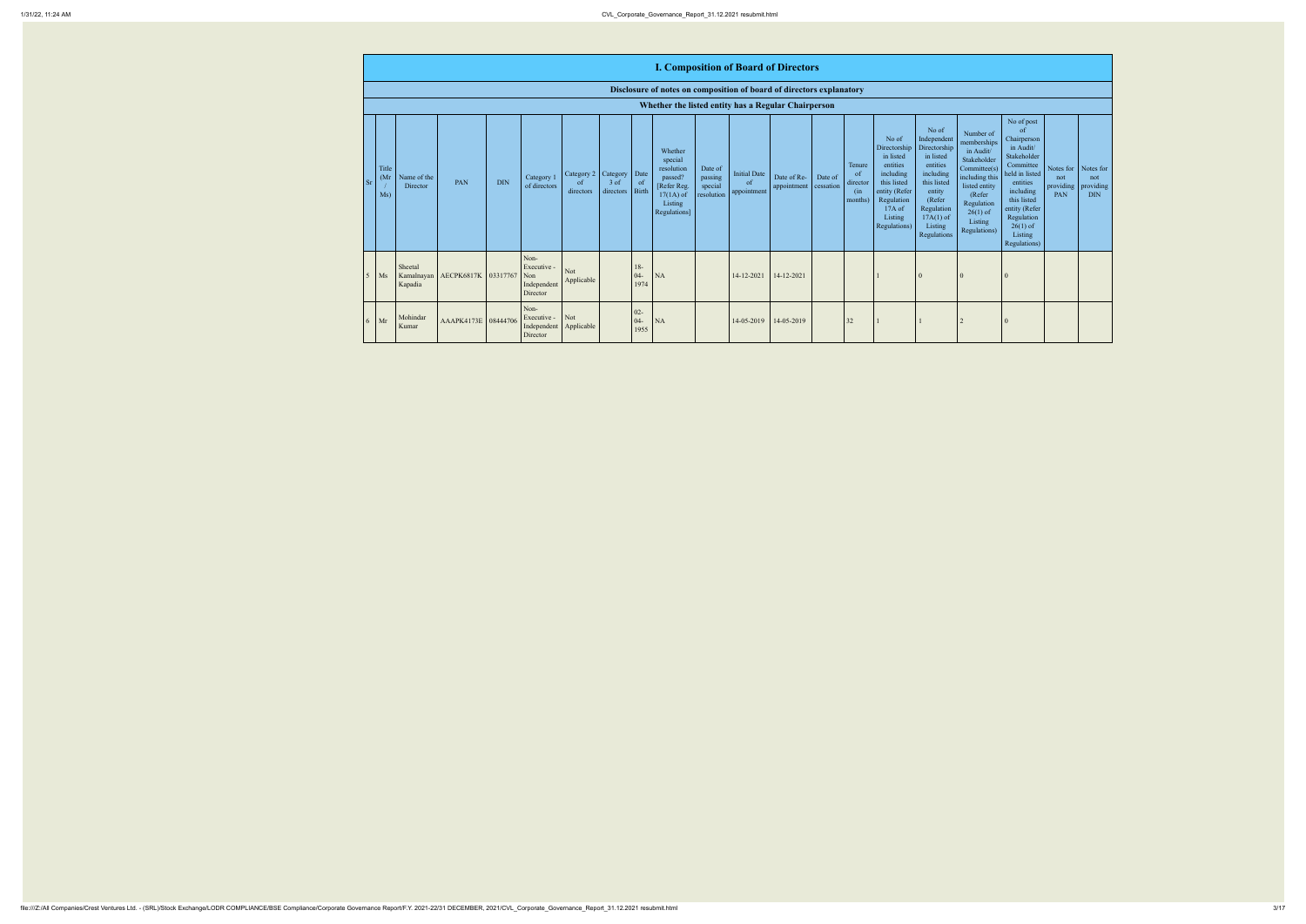| <b>I. Composition of Board of Directors</b>                                                          |                                             |                                          |                            |                      |                                            |                                                                                                                                                  |                                                                                                                                                                      |                                                                                                                                                                          |                                                                                                                                                                                                            |                                             |                                             |
|------------------------------------------------------------------------------------------------------|---------------------------------------------|------------------------------------------|----------------------------|----------------------|--------------------------------------------|--------------------------------------------------------------------------------------------------------------------------------------------------|----------------------------------------------------------------------------------------------------------------------------------------------------------------------|--------------------------------------------------------------------------------------------------------------------------------------------------------------------------|------------------------------------------------------------------------------------------------------------------------------------------------------------------------------------------------------------|---------------------------------------------|---------------------------------------------|
| of notes on composition of board of directors explanatory                                            |                                             |                                          |                            |                      |                                            |                                                                                                                                                  |                                                                                                                                                                      |                                                                                                                                                                          |                                                                                                                                                                                                            |                                             |                                             |
| hether the listed entity has a Regular Chairperson                                                   |                                             |                                          |                            |                      |                                            |                                                                                                                                                  |                                                                                                                                                                      |                                                                                                                                                                          |                                                                                                                                                                                                            |                                             |                                             |
| Whether<br>special<br>resolution<br>passed?<br>[Refer Reg.<br>$17(1A)$ of<br>Listing<br>Regulations] | Date of<br>passing<br>special<br>resolution | <b>Initial Date</b><br>of<br>appointment | Date of Re-<br>appointment | Date of<br>cessation | Tenure<br>of<br>director<br>(in<br>months) | No of<br>Directorship<br>in listed<br>entities<br>including<br>this listed<br>entity (Refer<br>Regulation<br>$17A$ of<br>Listing<br>Regulations) | No of<br>Independent<br>Directorship<br>in listed<br>entities<br>including<br>this listed<br>entity<br>(Refer<br>Regulation<br>$17A(1)$ of<br>Listing<br>Regulations | Number of<br>memberships<br>in Audit/<br>Stakeholder<br>Committee(s)<br>including this<br>listed entity<br>(Refer<br>Regulation<br>$26(1)$ of<br>Listing<br>Regulations) | No of post<br>of<br>Chairperson<br>in Audit/<br>Stakeholder<br>Committee<br>held in listed<br>entities<br>including<br>this listed<br>entity (Refer<br>Regulation<br>$26(1)$ of<br>Listing<br>Regulations) | Notes for<br>not<br>providing<br><b>PAN</b> | Notes for<br>not<br>providing<br><b>DIN</b> |
| NA                                                                                                   |                                             | 14-12-2021                               | 14-12-2021                 |                      |                                            |                                                                                                                                                  | $\mathbf{0}$                                                                                                                                                         | $\boldsymbol{0}$                                                                                                                                                         | $\overline{0}$                                                                                                                                                                                             |                                             |                                             |
| NA                                                                                                   |                                             | 14-05-2019                               | 14-05-2019                 |                      | 32                                         |                                                                                                                                                  |                                                                                                                                                                      | $\overline{2}$                                                                                                                                                           | $\boldsymbol{0}$                                                                                                                                                                                           |                                             |                                             |

|    | <b>I. Composition of Board of Directors</b>                          |                         |                                |            |                                                           |                                                   |                     |                                |                                                                                                      |                                             |                                          |                                      |         |                                            |                                                                                                                                                  |                                                                                                                                                                      |                                                                                                                                                                          |                                                                                                                                                                                                            |                                           |                                             |
|----|----------------------------------------------------------------------|-------------------------|--------------------------------|------------|-----------------------------------------------------------|---------------------------------------------------|---------------------|--------------------------------|------------------------------------------------------------------------------------------------------|---------------------------------------------|------------------------------------------|--------------------------------------|---------|--------------------------------------------|--------------------------------------------------------------------------------------------------------------------------------------------------|----------------------------------------------------------------------------------------------------------------------------------------------------------------------|--------------------------------------------------------------------------------------------------------------------------------------------------------------------------|------------------------------------------------------------------------------------------------------------------------------------------------------------------------------------------------------------|-------------------------------------------|---------------------------------------------|
|    | Disclosure of notes on composition of board of directors explanatory |                         |                                |            |                                                           |                                                   |                     |                                |                                                                                                      |                                             |                                          |                                      |         |                                            |                                                                                                                                                  |                                                                                                                                                                      |                                                                                                                                                                          |                                                                                                                                                                                                            |                                           |                                             |
|    |                                                                      |                         |                                |            |                                                           |                                                   |                     |                                | Whether the listed entity has a Regular Chairperson                                                  |                                             |                                          |                                      |         |                                            |                                                                                                                                                  |                                                                                                                                                                      |                                                                                                                                                                          |                                                                                                                                                                                                            |                                           |                                             |
| Sr | Title<br>(Mr)<br>Ms)                                                 | Name of the<br>Director | PAN                            | <b>DIN</b> | Category 1<br>of directors                                | Category 2 Category<br><sub>of</sub><br>directors | $3$ of<br>directors | Date<br><sub>of</sub><br>Birth | Whether<br>special<br>resolution<br>passed?<br>[Refer Reg.<br>$17(1A)$ of<br>Listing<br>Regulations] | Date of<br>passing<br>special<br>resolution | <b>Initial Date</b><br>of<br>appointment | Date of Re-<br>appointment cessation | Date of | Tenure<br>of<br>director<br>(in<br>months) | No of<br>Directorship<br>in listed<br>entities<br>including<br>this listed<br>entity (Refer<br>Regulation<br>$17A$ of<br>Listing<br>Regulations) | No of<br>Independent<br>Directorship<br>in listed<br>entities<br>including<br>this listed<br>entity<br>(Refer<br>Regulation<br>$17A(1)$ of<br>Listing<br>Regulations | Number of<br>memberships<br>in Audit/<br>Stakeholder<br>Committee(s)<br>including this<br>listed entity<br>(Refer<br>Regulation<br>$26(1)$ of<br>Listing<br>Regulations) | No of post<br>of<br>Chairperson<br>in Audit/<br>Stakeholder<br>Committee<br>held in listed<br>entities<br>including<br>this listed<br>entity (Refer<br>Regulation<br>$26(1)$ of<br>Listing<br>Regulations) | Notes for $\ $<br>not<br>providing<br>PAN | Notes for<br>not<br>providing<br><b>DIN</b> |
|    | $\overline{\text{Ms}}$                                               | Sheetal<br>Kapadia      | Kamalnayan AECPK6817K 03317767 |            | Non-<br>Executive -<br>Non<br>Independent<br>Director     | Not<br>Applicable                                 |                     | $18-$<br>$04 -$<br>1974        | NA                                                                                                   |                                             | 14-12-2021                               | 14-12-2021                           |         |                                            |                                                                                                                                                  | $\theta$                                                                                                                                                             | l 0                                                                                                                                                                      |                                                                                                                                                                                                            |                                           |                                             |
|    | $6$ Mr                                                               | Mohindar<br>Kumar       | AAAPK4173E 08444706            |            | Non-<br>Executive -<br>Independent Applicable<br>Director | Not                                               |                     | $02 -$<br>$04 -$<br>1955       | NA                                                                                                   |                                             | 14-05-2019                               | 14-05-2019                           |         | 32                                         |                                                                                                                                                  |                                                                                                                                                                      |                                                                                                                                                                          |                                                                                                                                                                                                            |                                           |                                             |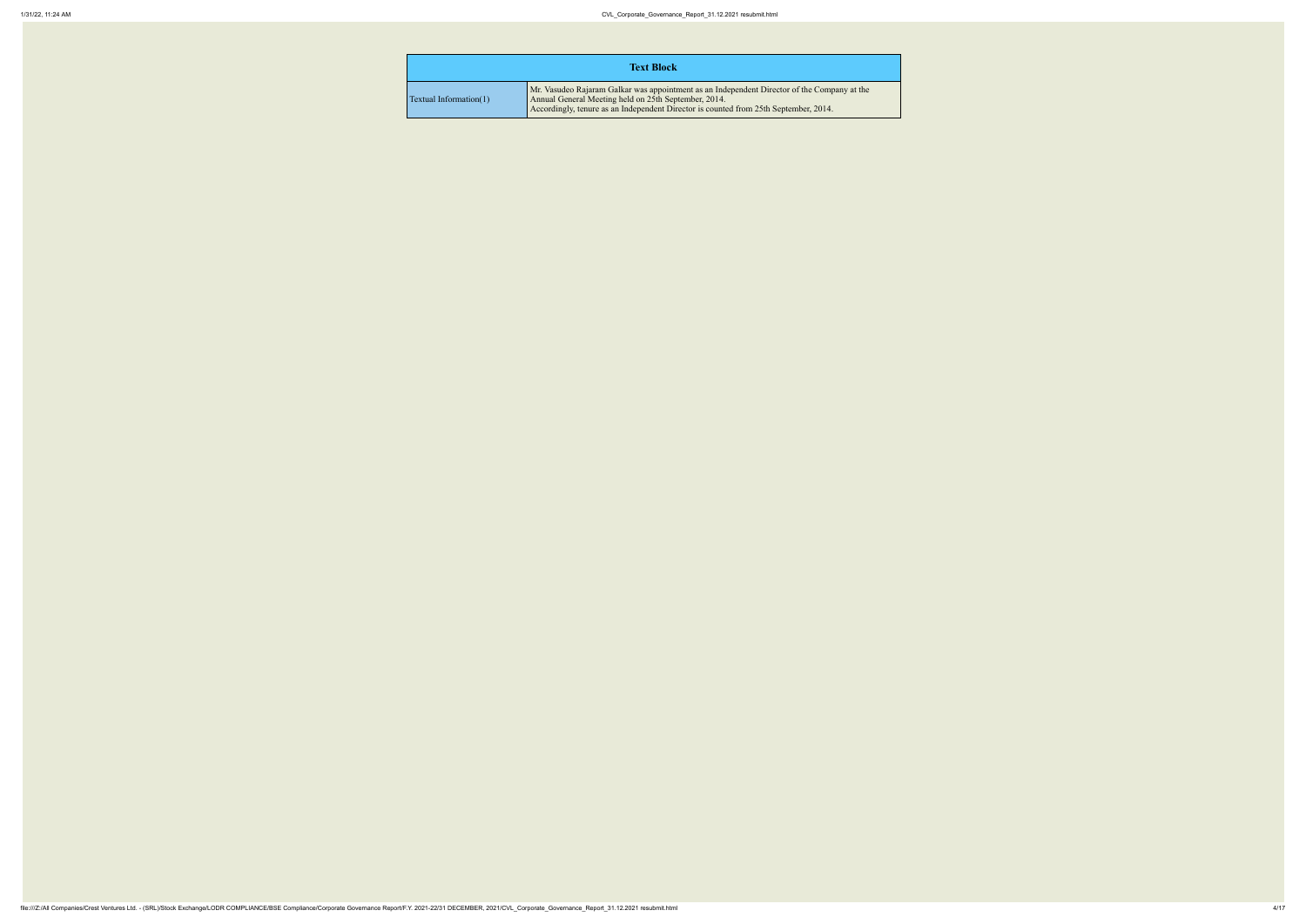Mr. Vasudeo Rajaram Galkar was appointment as an Independent Director of the Company at the or is counted from 25th September, 2014.

|                           | <b>Text Block</b>                                                                                                                                                          |
|---------------------------|----------------------------------------------------------------------------------------------------------------------------------------------------------------------------|
| Textual Information $(1)$ | Mr. Vasudeo Rajaram Galkar was appointment as an Ind<br>Annual General Meeting held on 25th September, 2014.<br>Accordingly, tenure as an Independent Director is counter- |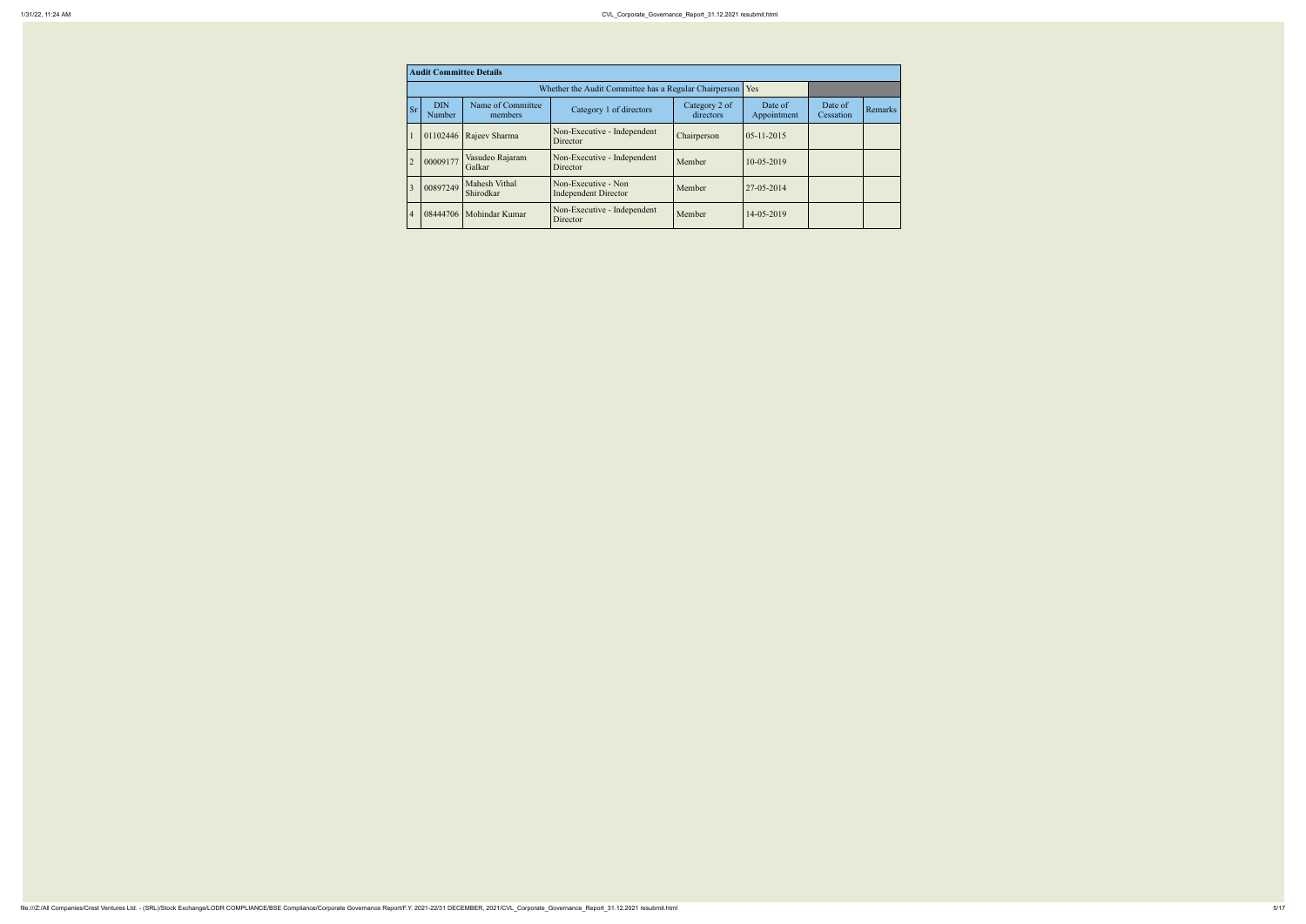|                | <b>Audit Committee Details</b> |                              |                                                             |                            |                        |                      |         |  |  |  |
|----------------|--------------------------------|------------------------------|-------------------------------------------------------------|----------------------------|------------------------|----------------------|---------|--|--|--|
|                |                                |                              | Whether the Audit Committee has a Regular Chairperson   Yes |                            |                        |                      |         |  |  |  |
| <b>Sr</b>      | <b>DIN</b><br>Number           | Name of Committee<br>members | Category 1 of directors                                     | Category 2 of<br>directors | Date of<br>Appointment | Date of<br>Cessation | Remarks |  |  |  |
|                | 01102446                       | Rajeev Sharma                | Non-Executive - Independent<br>Director                     | Chairperson                | $05 - 11 - 2015$       |                      |         |  |  |  |
| $\overline{2}$ | 00009177                       | Vasudeo Rajaram<br>Galkar    | Non-Executive - Independent<br>Director                     | Member                     | 10-05-2019             |                      |         |  |  |  |
| 3              | 00897249                       | Mahesh Vithal<br>Shirodkar   | Non-Executive - Non<br><b>Independent Director</b>          | Member                     | 27-05-2014             |                      |         |  |  |  |
| $\overline{4}$ | 08444706                       | Mohindar Kumar               | Non-Executive - Independent<br>Director                     | Member                     | 14-05-2019             |                      |         |  |  |  |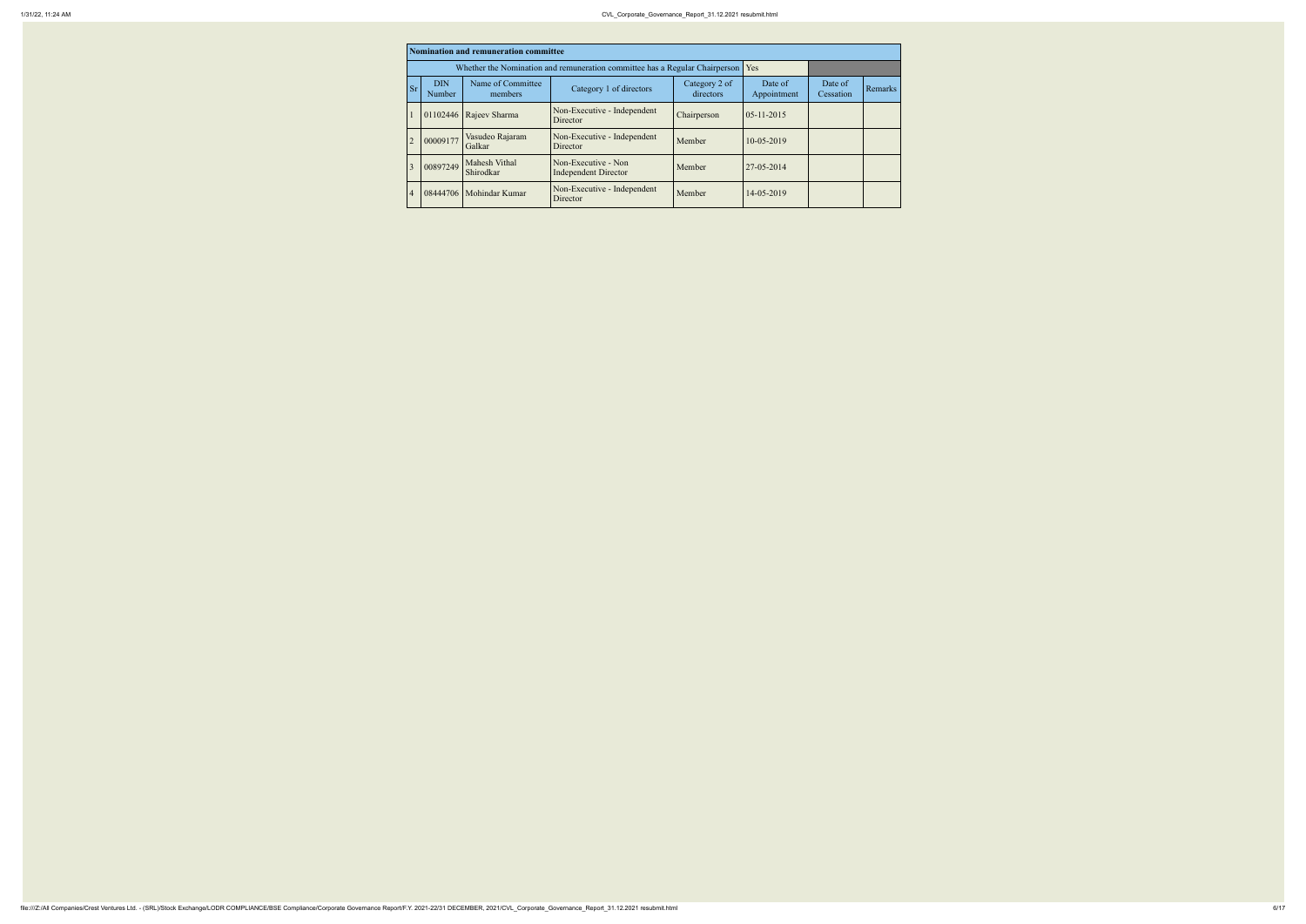|                | Nomination and remuneration committee                                       |                              |                                                    |                            |                        |                      |         |  |  |  |  |
|----------------|-----------------------------------------------------------------------------|------------------------------|----------------------------------------------------|----------------------------|------------------------|----------------------|---------|--|--|--|--|
|                | Whether the Nomination and remuneration committee has a Regular Chairperson |                              |                                                    |                            |                        |                      |         |  |  |  |  |
| <b>Sr</b>      | <b>DIN</b><br>Number                                                        | Name of Committee<br>members | Category 1 of directors                            | Category 2 of<br>directors | Date of<br>Appointment | Date of<br>Cessation | Remarks |  |  |  |  |
|                | 01102446                                                                    | Rajeev Sharma                | Non-Executive - Independent<br>Director            | Chairperson                | $05 - 11 - 2015$       |                      |         |  |  |  |  |
| $\overline{2}$ | 00009177                                                                    | Vasudeo Rajaram<br>Galkar    | Non-Executive - Independent<br>Director            | Member                     | 10-05-2019             |                      |         |  |  |  |  |
| 3              | 00897249                                                                    | Mahesh Vithal<br>Shirodkar   | Non-Executive - Non<br><b>Independent Director</b> | Member                     | 27-05-2014             |                      |         |  |  |  |  |
| $\overline{4}$ | 08444706                                                                    | Mohindar Kumar               | Non-Executive - Independent<br>Director            | Member                     | 14-05-2019             |                      |         |  |  |  |  |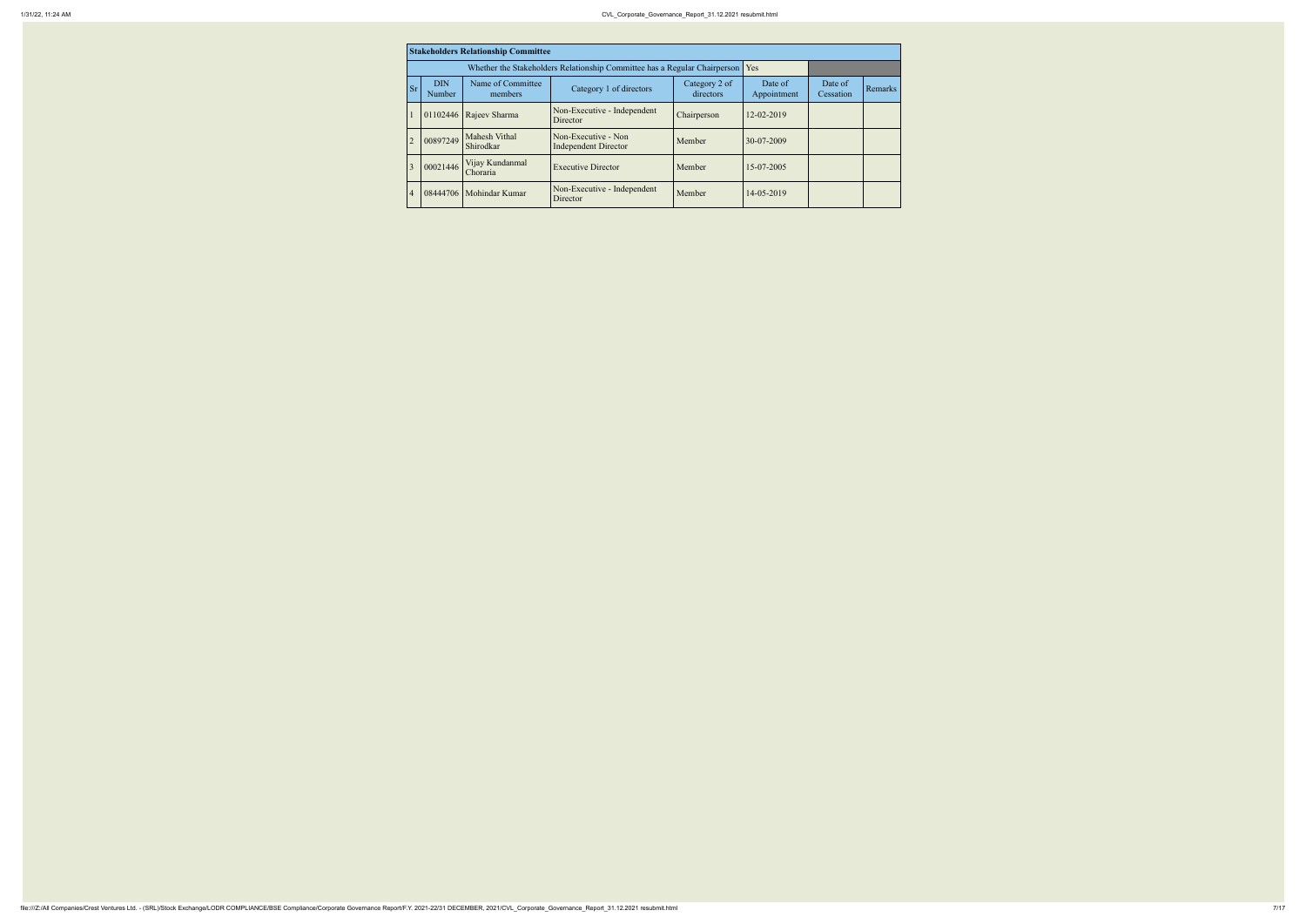|                | <b>Stakeholders Relationship Committee</b> |                              |                                                    |                            |                        |                      |         |  |  |  |
|----------------|--------------------------------------------|------------------------------|----------------------------------------------------|----------------------------|------------------------|----------------------|---------|--|--|--|
|                |                                            | Yes                          |                                                    |                            |                        |                      |         |  |  |  |
| <b>Sr</b>      | <b>DIN</b><br>Number                       | Name of Committee<br>members | Category 1 of directors                            | Category 2 of<br>directors | Date of<br>Appointment | Date of<br>Cessation | Remarks |  |  |  |
|                | 01102446                                   | Rajeev Sharma                | Non-Executive - Independent<br>Director            | Chairperson                | 12-02-2019             |                      |         |  |  |  |
| $\overline{2}$ | 00897249                                   | Mahesh Vithal<br>Shirodkar   | Non-Executive - Non<br><b>Independent Director</b> | Member                     | 30-07-2009             |                      |         |  |  |  |
| 3              | 00021446                                   | Vijay Kundanmal<br>Choraria  | <b>Executive Director</b>                          | Member                     | 15-07-2005             |                      |         |  |  |  |
| $\overline{4}$ | 08444706                                   | Mohindar Kumar               | Non-Executive - Independent<br>Director            | Member                     | 14-05-2019             |                      |         |  |  |  |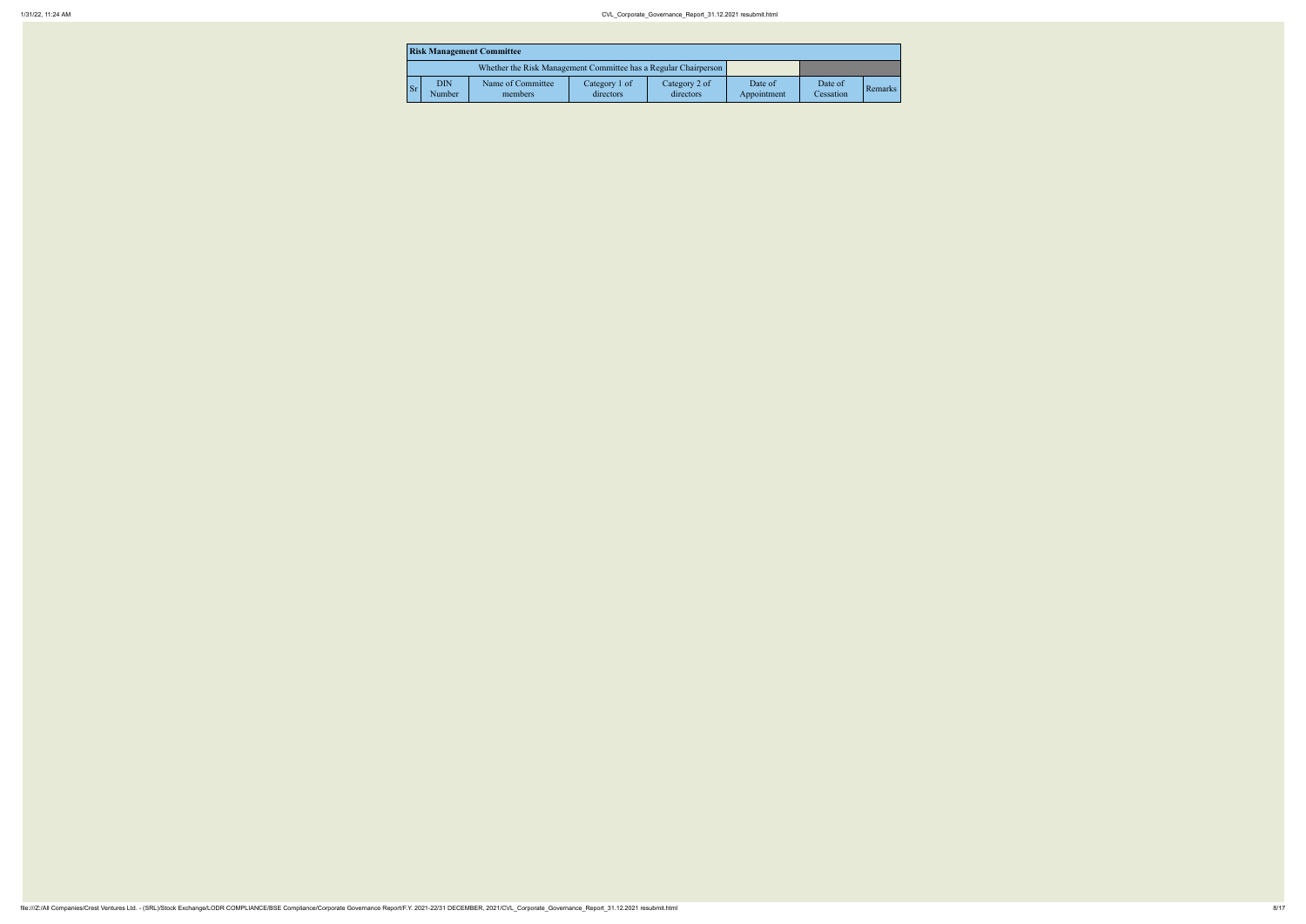|                        | <b>Risk Management Committee</b>                                |                              |                            |                            |                        |                      |         |  |  |  |
|------------------------|-----------------------------------------------------------------|------------------------------|----------------------------|----------------------------|------------------------|----------------------|---------|--|--|--|
|                        | Whether the Risk Management Committee has a Regular Chairperson |                              |                            |                            |                        |                      |         |  |  |  |
| $\mathsf{S}\mathbf{r}$ | <b>DIN</b><br>Number                                            | Name of Committee<br>members | Category 1 of<br>directors | Category 2 of<br>directors | Date of<br>Appointment | Date of<br>Cessation | Remarks |  |  |  |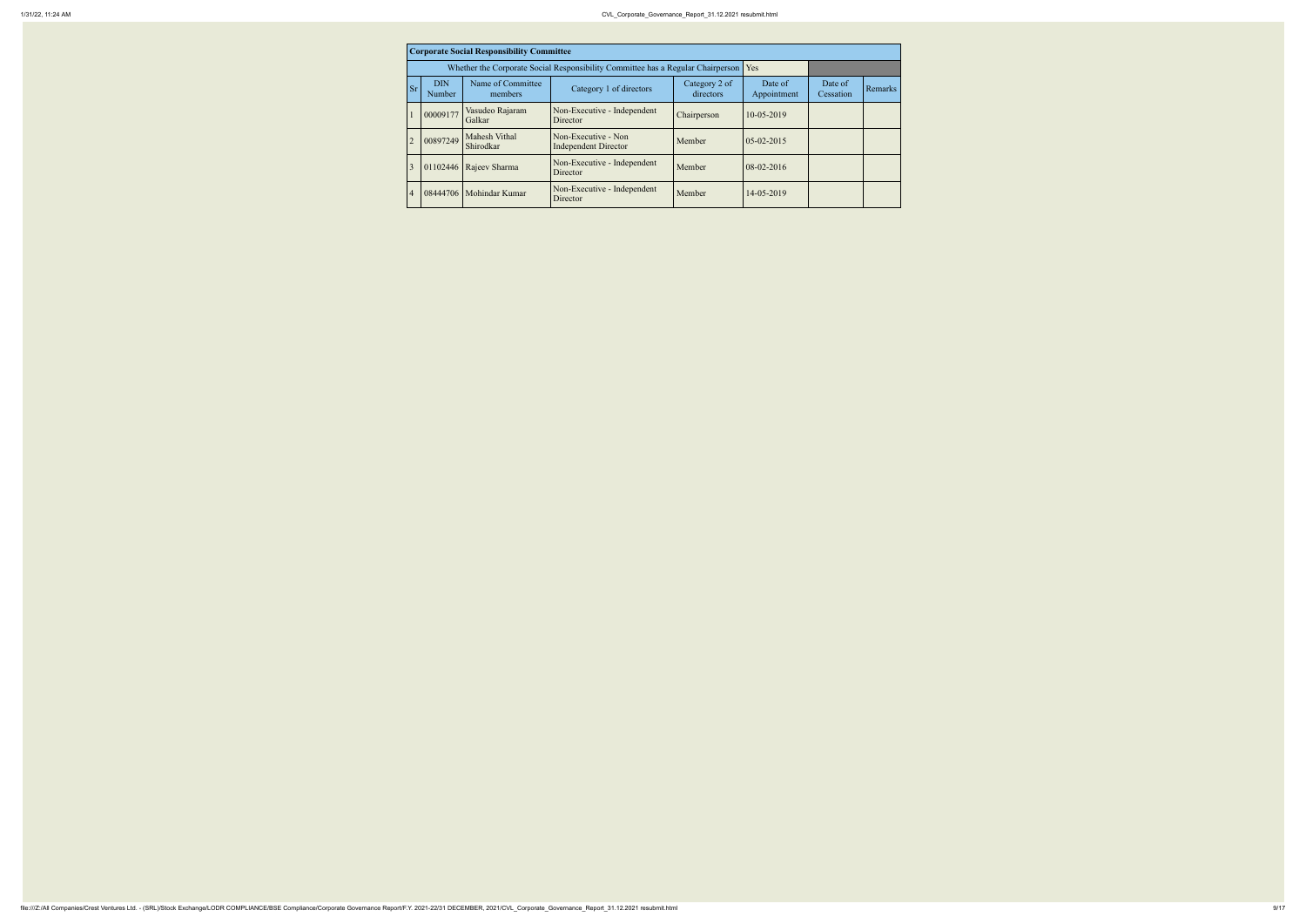| <b>Corporate Social Responsibility Committee</b> |                                                                                 |                              |                                                    |                            |                        |                      |         |  |  |  |
|--------------------------------------------------|---------------------------------------------------------------------------------|------------------------------|----------------------------------------------------|----------------------------|------------------------|----------------------|---------|--|--|--|
|                                                  | Whether the Corporate Social Responsibility Committee has a Regular Chairperson |                              |                                                    |                            |                        |                      |         |  |  |  |
| <b>Sr</b>                                        | <b>DIN</b><br>Number                                                            | Name of Committee<br>members | Category 1 of directors                            | Category 2 of<br>directors | Date of<br>Appointment | Date of<br>Cessation | Remarks |  |  |  |
|                                                  | 00009177                                                                        | Vasudeo Rajaram<br>Galkar    | Non-Executive - Independent<br>Director            | Chairperson                | 10-05-2019             |                      |         |  |  |  |
| $\overline{2}$                                   | 00897249                                                                        | Mahesh Vithal<br>Shirodkar   | Non-Executive - Non<br><b>Independent Director</b> | Member                     | $05 - 02 - 2015$       |                      |         |  |  |  |
| 3                                                |                                                                                 | 01102446 Rajeev Sharma       | Non-Executive - Independent<br><b>Director</b>     | Member                     | $08-02-2016$           |                      |         |  |  |  |
| $\overline{4}$                                   |                                                                                 | 08444706   Mohindar Kumar    | Non-Executive - Independent<br>Director            | Member                     | 14-05-2019             |                      |         |  |  |  |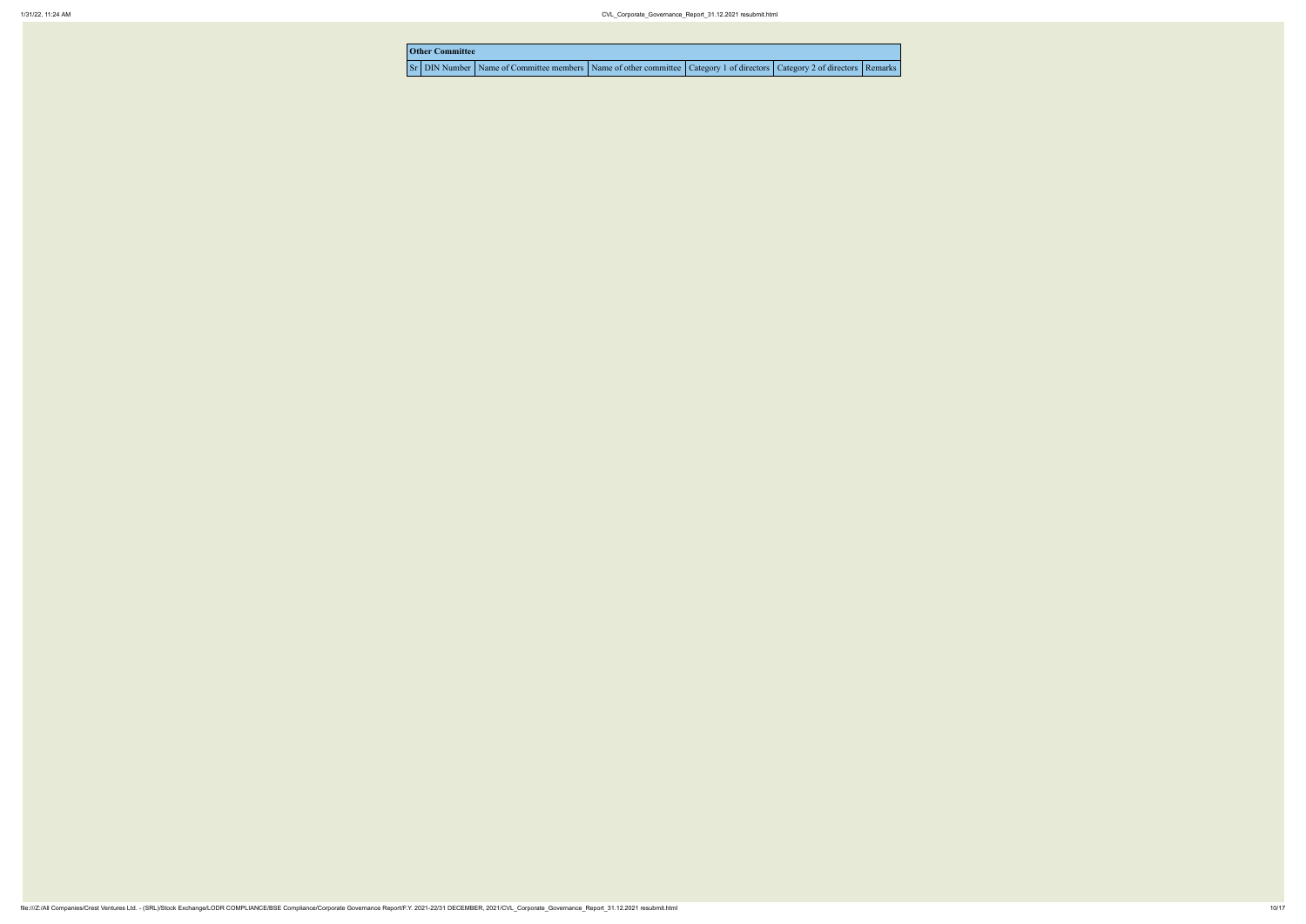| <b>Other Committee</b> |                                                                     |  |
|------------------------|---------------------------------------------------------------------|--|
|                        | Sr DIN Number Name of Committee members Name of other committee Cat |  |

| tegory 1 of directors   Category 2 of directors   Remarks |  |
|-----------------------------------------------------------|--|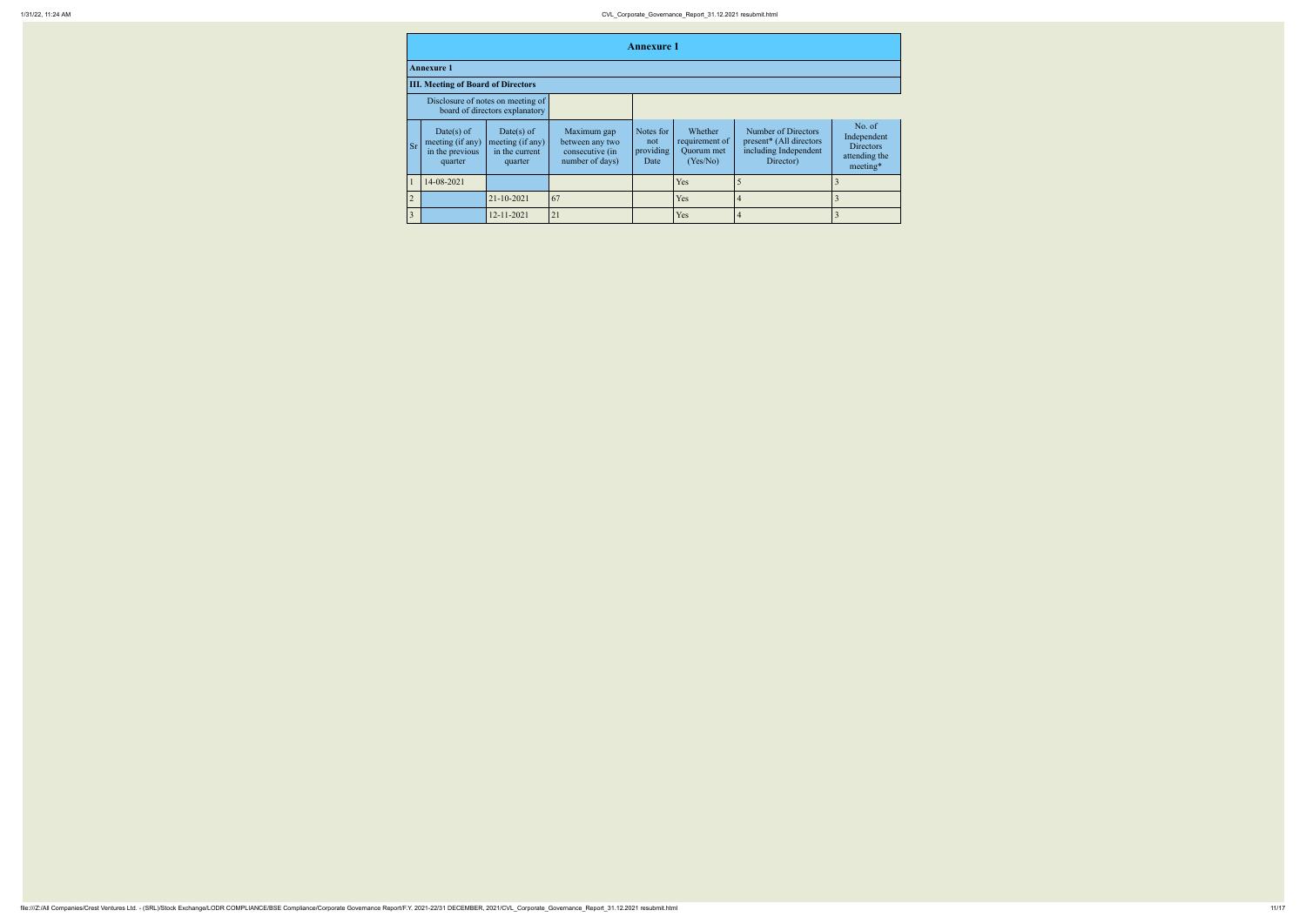|                | <b>Annexure 1</b>                                            |                                                                     |                                                                      |                                       |                                                     |                                                                                      |                                                                        |
|----------------|--------------------------------------------------------------|---------------------------------------------------------------------|----------------------------------------------------------------------|---------------------------------------|-----------------------------------------------------|--------------------------------------------------------------------------------------|------------------------------------------------------------------------|
|                | <b>Annexure 1</b>                                            |                                                                     |                                                                      |                                       |                                                     |                                                                                      |                                                                        |
|                | <b>III. Meeting of Board of Directors</b>                    |                                                                     |                                                                      |                                       |                                                     |                                                                                      |                                                                        |
|                |                                                              | Disclosure of notes on meeting of<br>board of directors explanatory |                                                                      |                                       |                                                     |                                                                                      |                                                                        |
| <b>Sr</b>      | Date(s) of<br>meeting (if any)<br>in the previous<br>quarter | Date(s) of<br>meeting (if any)<br>in the current<br>quarter         | Maximum gap<br>between any two<br>consecutive (in<br>number of days) | Notes for<br>not<br>providing<br>Date | Whether<br>requirement of<br>Quorum met<br>(Yes/No) | Number of Directors<br>present* (All directors<br>including Independent<br>Director) | No. of<br>Independent<br><b>Directors</b><br>attending the<br>meeting* |
|                | 14-08-2021                                                   |                                                                     |                                                                      |                                       | Yes                                                 |                                                                                      | 3                                                                      |
| $\overline{2}$ |                                                              | 21-10-2021                                                          | 67                                                                   |                                       | Yes                                                 | 4                                                                                    | 3                                                                      |
| 3              |                                                              | 12-11-2021                                                          | 21                                                                   |                                       | Yes                                                 |                                                                                      |                                                                        |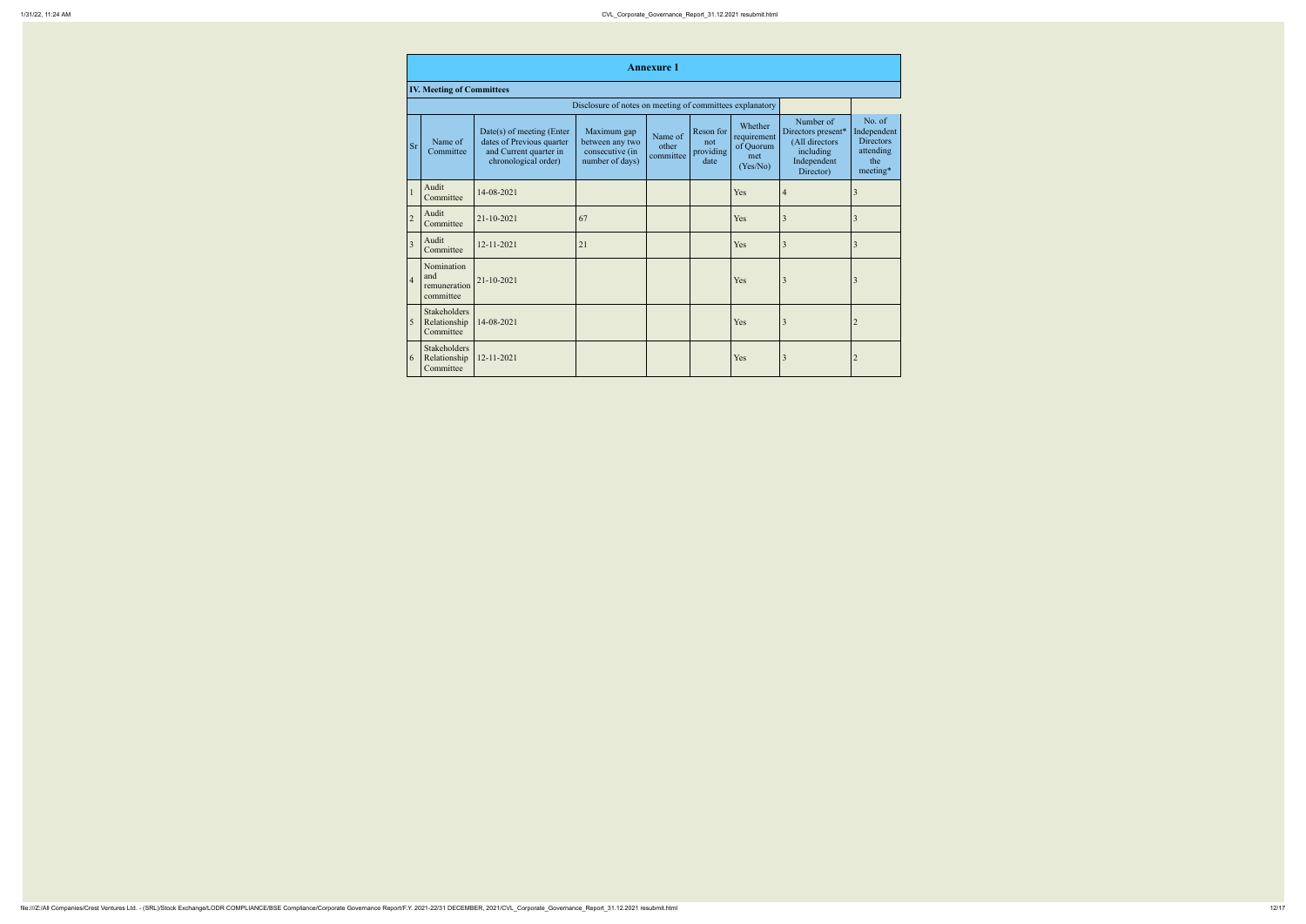|                | <b>Annexure 1</b>                                        |                                                                                                          |                                                                      |                               |                                       |                                                        |                                                                                            |                                                                           |
|----------------|----------------------------------------------------------|----------------------------------------------------------------------------------------------------------|----------------------------------------------------------------------|-------------------------------|---------------------------------------|--------------------------------------------------------|--------------------------------------------------------------------------------------------|---------------------------------------------------------------------------|
|                | <b>IV. Meeting of Committees</b>                         |                                                                                                          |                                                                      |                               |                                       |                                                        |                                                                                            |                                                                           |
|                | Disclosure of notes on meeting of committees explanatory |                                                                                                          |                                                                      |                               |                                       |                                                        |                                                                                            |                                                                           |
| <b>Sr</b>      | Name of<br>Committee                                     | Date(s) of meeting (Enter<br>dates of Previous quarter<br>and Current quarter in<br>chronological order) | Maximum gap<br>between any two<br>consecutive (in<br>number of days) | Name of<br>other<br>committee | Reson for<br>not<br>providing<br>date | Whether<br>requirement<br>of Quorum<br>met<br>(Yes/No) | Number of<br>Directors present*<br>(All directors<br>including<br>Independent<br>Director) | No. of<br>Independent<br><b>Directors</b><br>attending<br>the<br>meeting* |
| $\mathbf{1}$   | Audit<br>Committee                                       | 14-08-2021                                                                                               |                                                                      |                               |                                       | Yes                                                    | $\overline{4}$                                                                             | 3                                                                         |
| $\overline{2}$ | Audit<br>Committee                                       | 21-10-2021                                                                                               | 67                                                                   |                               |                                       | Yes                                                    | 3                                                                                          | 3                                                                         |
| $\overline{3}$ | Audit<br>Committee                                       | 12-11-2021                                                                                               | 21                                                                   |                               |                                       | Yes                                                    | $\overline{3}$                                                                             | 3                                                                         |
| $\overline{4}$ | Nomination<br>and<br>remuneration<br>committee           | 21-10-2021                                                                                               |                                                                      |                               |                                       | Yes                                                    | 3                                                                                          | 3                                                                         |
| 5              | <b>Stakeholders</b><br>Relationship<br>Committee         | 14-08-2021                                                                                               |                                                                      |                               |                                       | Yes                                                    | $\overline{3}$                                                                             | $\overline{2}$                                                            |
| $\overline{6}$ | Stakeholders<br>Relationship<br>Committee                | 12-11-2021                                                                                               |                                                                      |                               |                                       | Yes                                                    | 3                                                                                          | $\overline{2}$                                                            |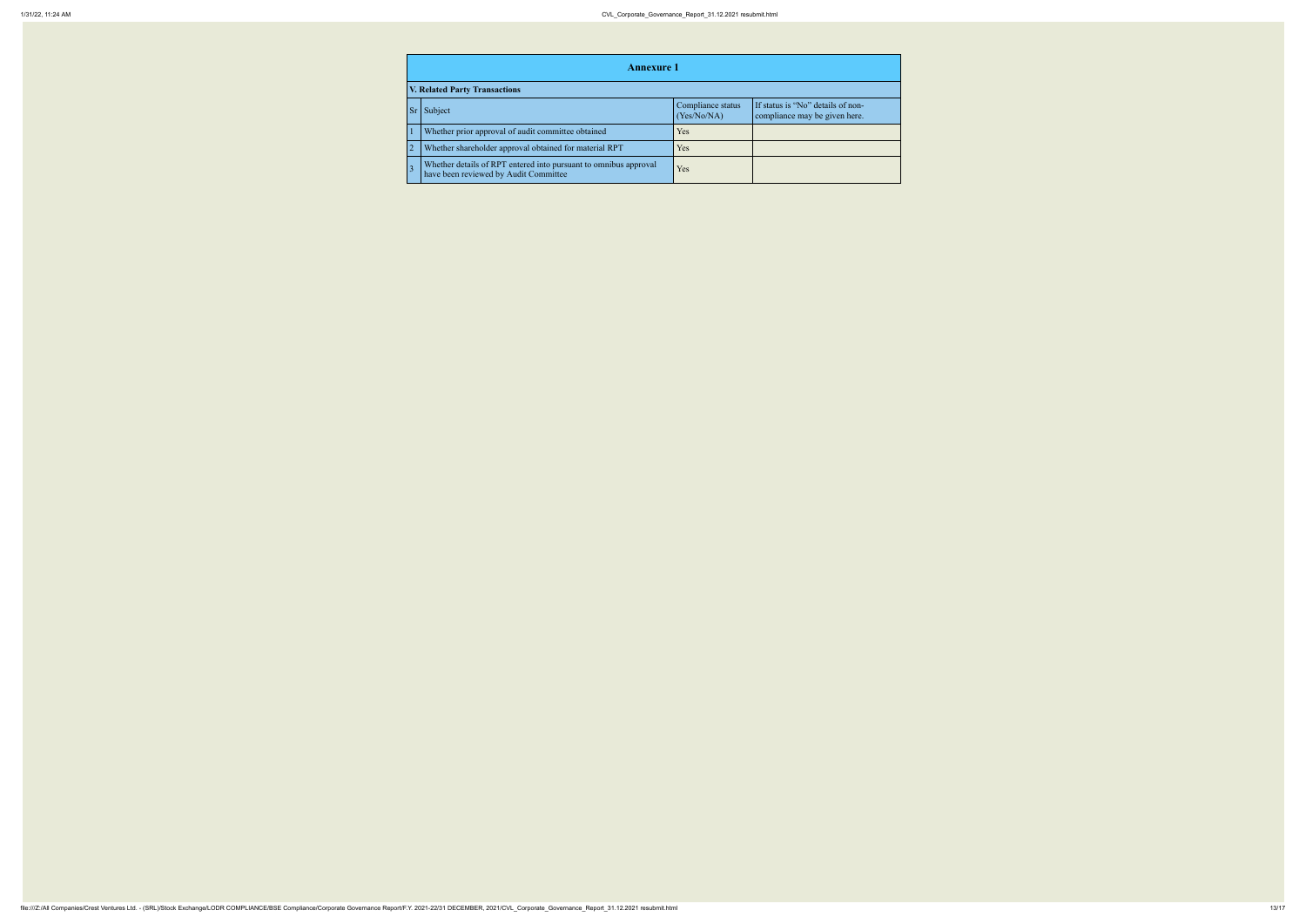|                | <b>Annexure 1</b>                                                                                         |                                  |                                                                    |  |  |
|----------------|-----------------------------------------------------------------------------------------------------------|----------------------------------|--------------------------------------------------------------------|--|--|
|                | <b>V. Related Party Transactions</b>                                                                      |                                  |                                                                    |  |  |
| <b>Sr</b>      | Subject                                                                                                   | Compliance status<br>(Yes/No/NA) | If status is "No" details of non-<br>compliance may be given here. |  |  |
|                | Whether prior approval of audit committee obtained                                                        | Yes                              |                                                                    |  |  |
| $\overline{2}$ | Whether shareholder approval obtained for material RPT                                                    | <b>Yes</b>                       |                                                                    |  |  |
|                | Whether details of RPT entered into pursuant to omnibus approval<br>have been reviewed by Audit Committee | Yes                              |                                                                    |  |  |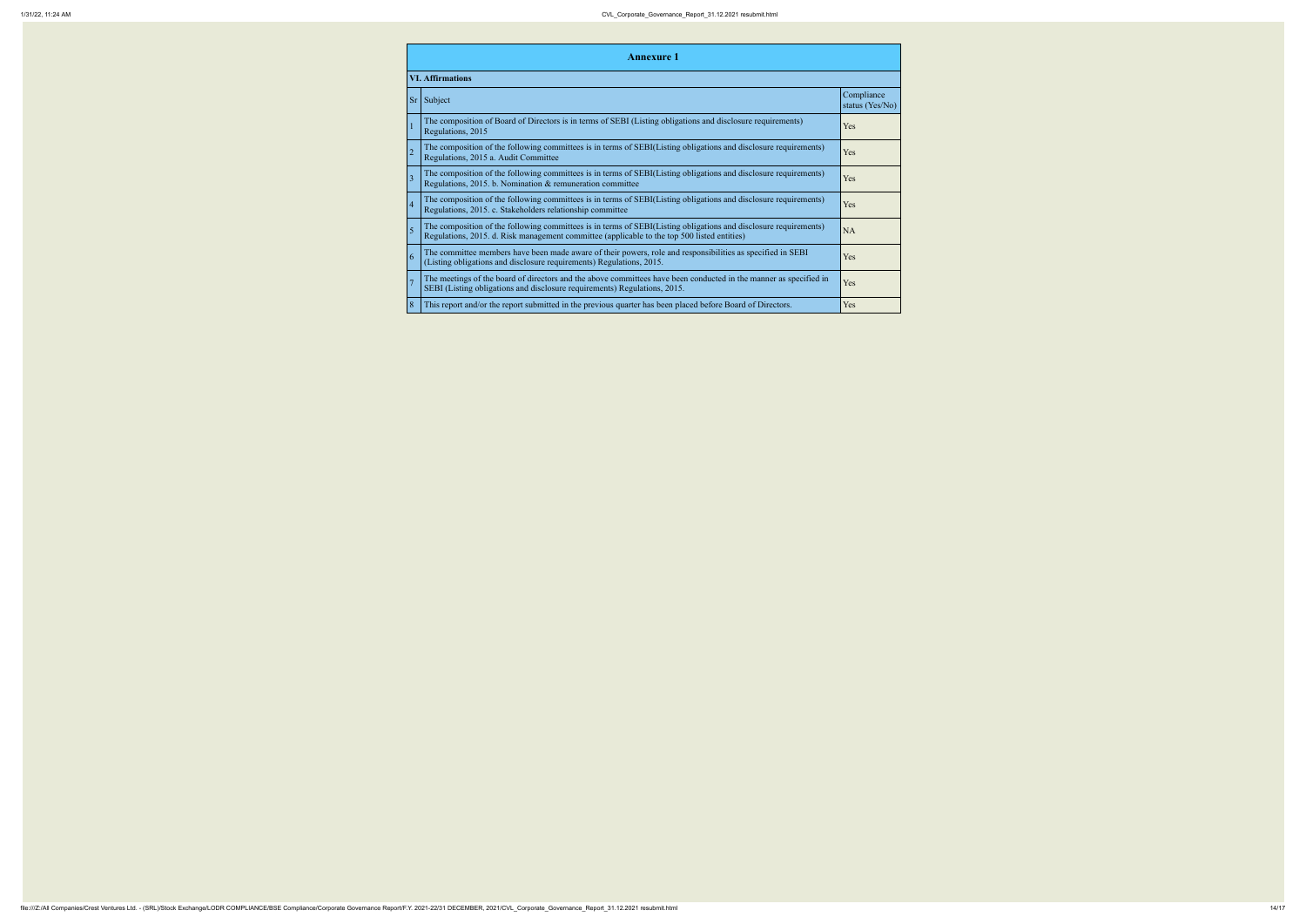|                | <b>Annexure 1</b>                                                                                                                                                                                               |                         |  |  |  |  |
|----------------|-----------------------------------------------------------------------------------------------------------------------------------------------------------------------------------------------------------------|-------------------------|--|--|--|--|
|                | <b>VI. Affirmations</b>                                                                                                                                                                                         |                         |  |  |  |  |
| <b>Sr</b>      | Subject                                                                                                                                                                                                         | Co <sub>1</sub><br>stat |  |  |  |  |
|                | The composition of Board of Directors is in terms of SEBI (Listing obligations and disclosure requirements)<br>Regulations, 2015                                                                                | Yes                     |  |  |  |  |
| $\overline{2}$ | The composition of the following committees is in terms of SEBI(Listing obligations and disclosure requirements)<br>Regulations, 2015 a. Audit Committee                                                        | Yes                     |  |  |  |  |
| $\overline{3}$ | The composition of the following committees is in terms of SEBI(Listing obligations and disclosure requirements)<br>Regulations, 2015. b. Nomination & remuneration committee                                   | Yes                     |  |  |  |  |
| $\overline{4}$ | The composition of the following committees is in terms of SEBI(Listing obligations and disclosure requirements)<br>Regulations, 2015. c. Stakeholders relationship committee                                   | Yes                     |  |  |  |  |
| 5              | The composition of the following committees is in terms of SEBI(Listing obligations and disclosure requirements)<br>Regulations, 2015. d. Risk management committee (applicable to the top 500 listed entities) | <b>NA</b>               |  |  |  |  |
| 6              | The committee members have been made aware of their powers, role and responsibilities as specified in SEBI<br>(Listing obligations and disclosure requirements) Regulations, 2015.                              | Yes                     |  |  |  |  |
| $\overline{7}$ | The meetings of the board of directors and the above committees have been conducted in the manner as specified in<br>SEBI (Listing obligations and disclosure requirements) Regulations, 2015.                  | Yes                     |  |  |  |  |
| 8              | This report and/or the report submitted in the previous quarter has been placed before Board of Directors.                                                                                                      | Yes                     |  |  |  |  |

|                                                         | Compliance<br>status (Yes/No) |
|---------------------------------------------------------|-------------------------------|
| s and disclosure requirements)                          | Yes                           |
| gations and disclosure requirements)                    | Yes                           |
| gations and disclosure requirements)                    | Yes                           |
| gations and disclosure requirements)                    | Yes                           |
| gations and disclosure requirements)<br>isted entities) | NA                            |
| onsibilities as specified in SEBI                       | Yes                           |
| inducted in the manner as specified in                  | Yes                           |
| before Board of Directors.                              | Yes                           |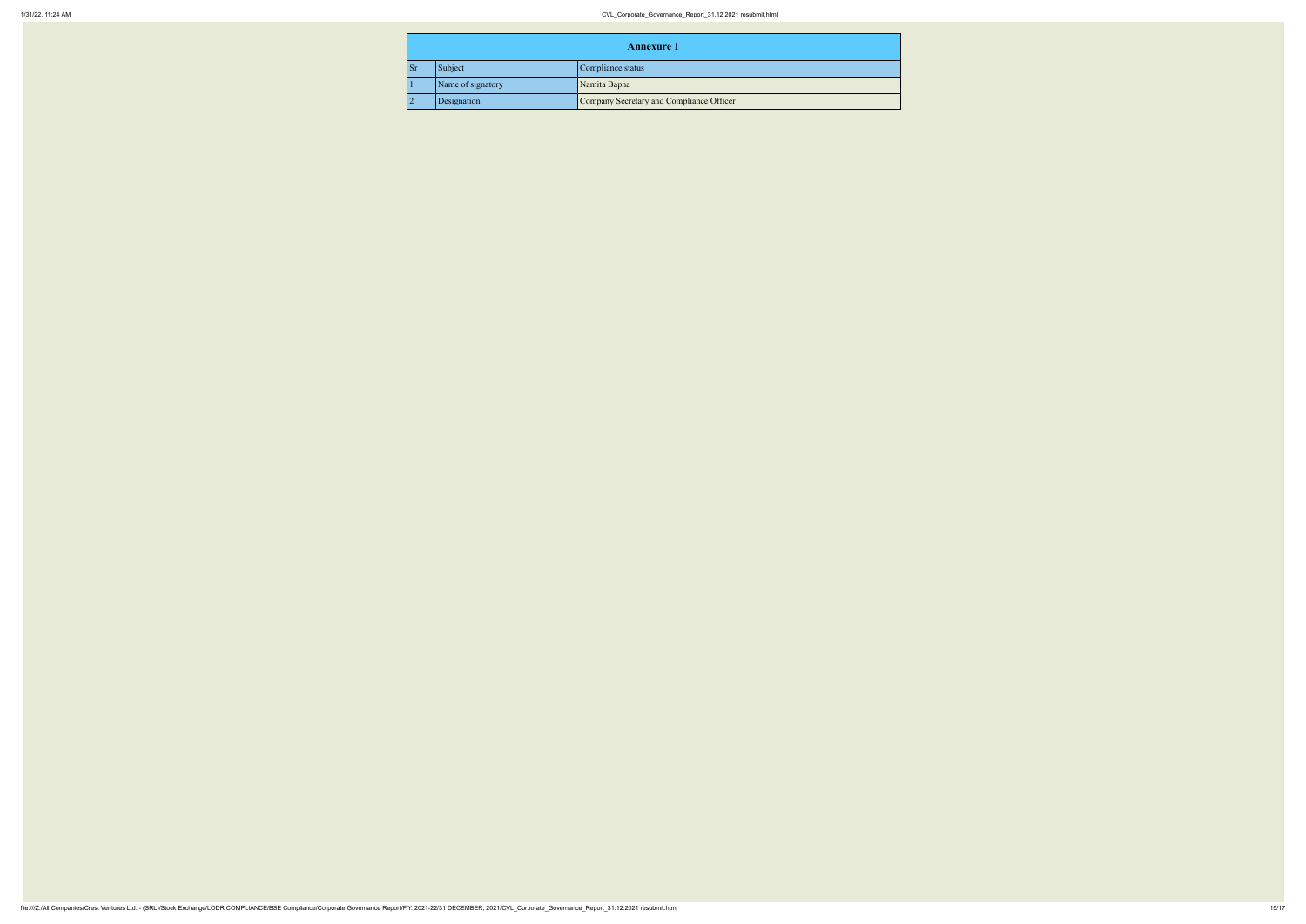|                                   | <b>Annexure 1</b> |                                          |  |
|-----------------------------------|-------------------|------------------------------------------|--|
| <b>Sr</b>                         | Subject           | Compliance status                        |  |
| Name of signatory<br>Namita Bapna |                   |                                          |  |
|                                   | Designation       | Company Secretary and Compliance Officer |  |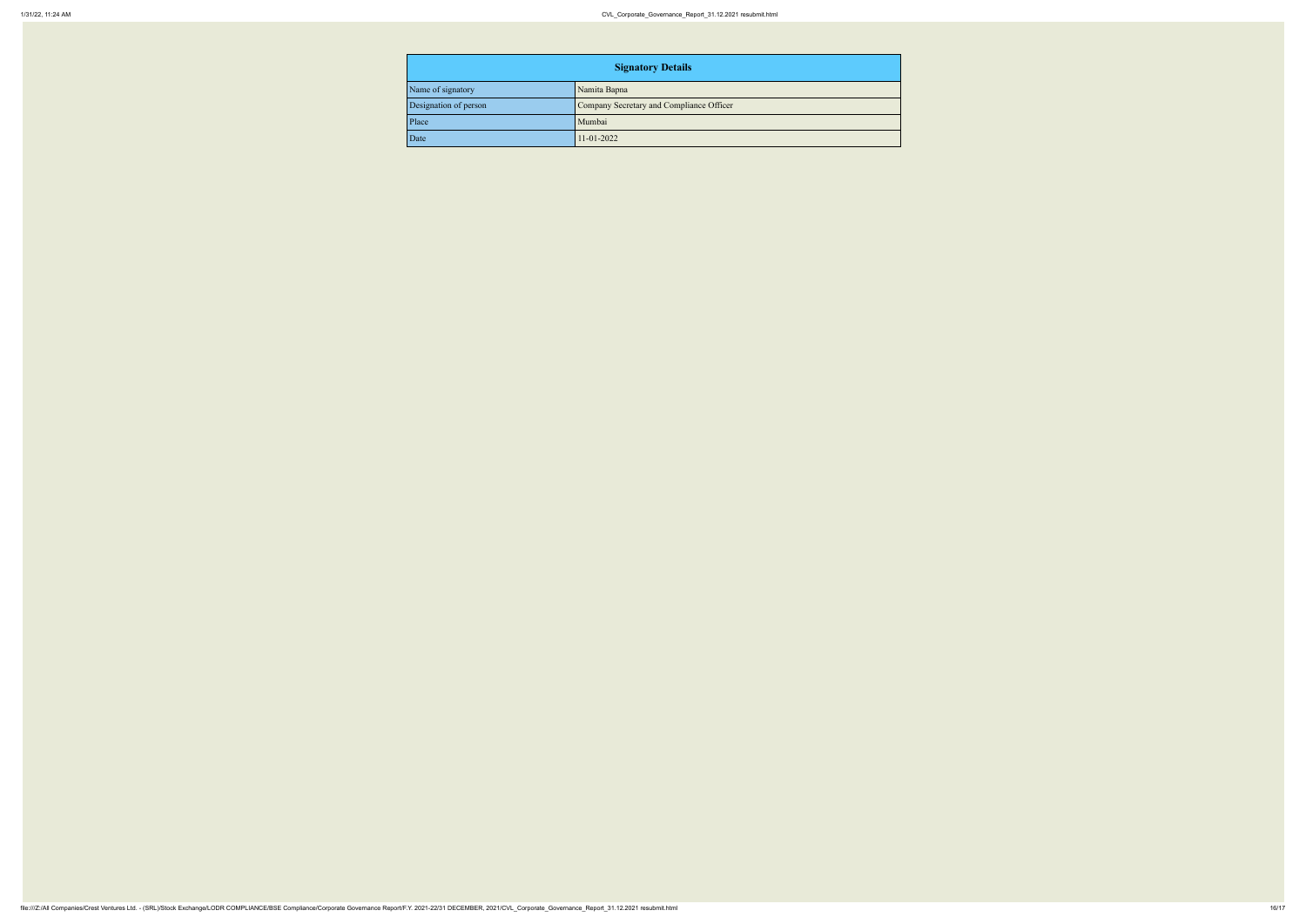| <b>Signatory Details</b> |                                          |  |
|--------------------------|------------------------------------------|--|
| Name of signatory        | Namita Bapna                             |  |
| Designation of person    | Company Secretary and Compliance Officer |  |
| Place                    | Mumbai                                   |  |
| $\vert$ Date             | $11 - 01 - 2022$                         |  |